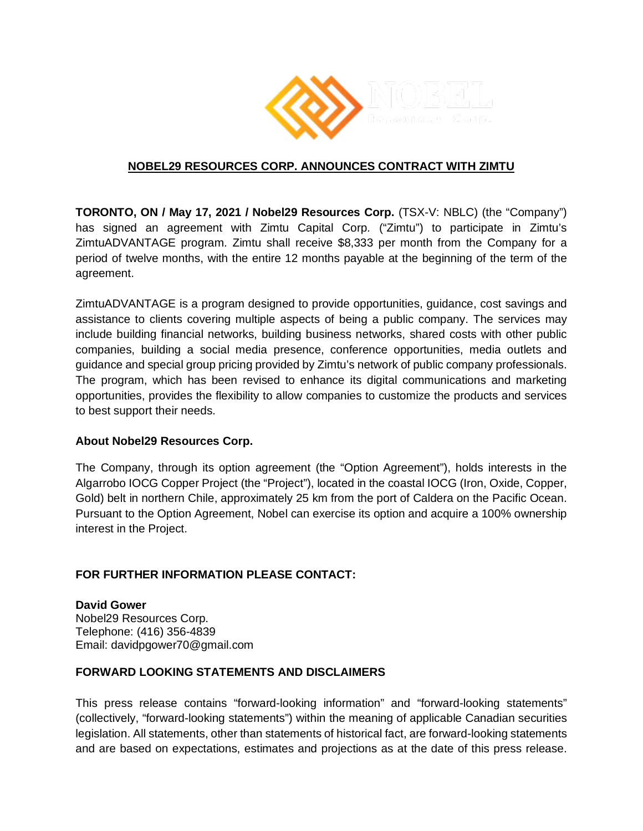

## **NOBEL29 RESOURCES CORP. ANNOUNCES CONTRACT WITH ZIMTU**

**TORONTO, ON / May 17, 2021 / Nobel29 Resources Corp.** (TSX-V: NBLC) (the "Company") has signed an agreement with Zimtu Capital Corp. ("Zimtu") to participate in Zimtu's ZimtuADVANTAGE program. Zimtu shall receive \$8,333 per month from the Company for a period of twelve months, with the entire 12 months payable at the beginning of the term of the agreement.

ZimtuADVANTAGE is a program designed to provide opportunities, guidance, cost savings and assistance to clients covering multiple aspects of being a public company. The services may include building financial networks, building business networks, shared costs with other public companies, building a social media presence, conference opportunities, media outlets and guidance and special group pricing provided by Zimtu's network of public company professionals. The program, which has been revised to enhance its digital communications and marketing opportunities, provides the flexibility to allow companies to customize the products and services to best support their needs.

## **About Nobel29 Resources Corp.**

The Company, through its option agreement (the "Option Agreement"), holds interests in the Algarrobo IOCG Copper Project (the "Project"), located in the coastal IOCG (Iron, Oxide, Copper, Gold) belt in northern Chile, approximately 25 km from the port of Caldera on the Pacific Ocean. Pursuant to the Option Agreement, Nobel can exercise its option and acquire a 100% ownership interest in the Project.

## **FOR FURTHER INFORMATION PLEASE CONTACT:**

**David Gower** Nobel29 Resources Corp. Telephone: (416) 356-4839 Email: davidpgower70@gmail.com

## **FORWARD LOOKING STATEMENTS AND DISCLAIMERS**

This press release contains "forward-looking information" and "forward-looking statements" (collectively, "forward-looking statements") within the meaning of applicable Canadian securities legislation. All statements, other than statements of historical fact, are forward-looking statements and are based on expectations, estimates and projections as at the date of this press release.